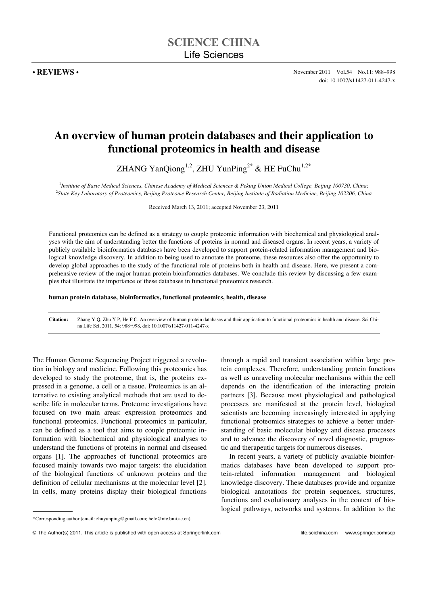# **An overview of human protein databases and their application to functional proteomics in health and disease**

ZHANG YanQiong<sup>1,2</sup>, ZHU YunPing<sup>2\*</sup> & HE FuChu<sup>1,2\*</sup>

1 *Institute of Basic Medical Sciences, Chinese Academy of Medical Sciences & Peking Union Medical College, Beijing 100730, China;* 2 *State Key Laboratory of Proteomics, Beijing Proteome Research Center, Beijing Institute of Radiation Medicine, Beijing 102206, China* 

Received March 13, 2011; accepted November 23, 2011

Functional proteomics can be defined as a strategy to couple proteomic information with biochemical and physiological analyses with the aim of understanding better the functions of proteins in normal and diseased organs. In recent years, a variety of publicly available bioinformatics databases have been developed to support protein-related information management and biological knowledge discovery. In addition to being used to annotate the proteome, these resources also offer the opportunity to develop global approaches to the study of the functional role of proteins both in health and disease. Here, we present a comprehensive review of the major human protein bioinformatics databases. We conclude this review by discussing a few examples that illustrate the importance of these databases in functional proteomics research.

**human protein database, bioinformatics, functional proteomics, health, disease** 

**Citation:** Zhang Y Q, Zhu Y P, He F C. An overview of human protein databases and their application to functional proteomics in health and disease. Sci China Life Sci, 2011, 54: 988–998, doi: 10.1007/s11427-011-4247-x

The Human Genome Sequencing Project triggered a revolution in biology and medicine. Following this proteomics has developed to study the proteome, that is, the proteins expressed in a genome, a cell or a tissue. Proteomics is an alternative to existing analytical methods that are used to describe life in molecular terms. Proteome investigations have focused on two main areas: expression proteomics and functional proteomics. Functional proteomics in particular, can be defined as a tool that aims to couple proteomic information with biochemical and physiological analyses to understand the functions of proteins in normal and diseased organs [1]. The approaches of functional proteomics are focused mainly towards two major targets: the elucidation of the biological functions of unknown proteins and the definition of cellular mechanisms at the molecular level [2]. In cells, many proteins display their biological functions

through a rapid and transient association within large protein complexes. Therefore, understanding protein functions as well as unraveling molecular mechanisms within the cell depends on the identification of the interacting protein partners [3]. Because most physiological and pathological processes are manifested at the protein level, biological scientists are becoming increasingly interested in applying functional proteomics strategies to achieve a better understanding of basic molecular biology and disease processes and to advance the discovery of novel diagnostic, prognostic and therapeutic targets for numerous diseases.

In recent years, a variety of publicly available bioinformatics databases have been developed to support protein-related information management and biological knowledge discovery. These databases provide and organize biological annotations for protein sequences, structures, functions and evolutionary analyses in the context of biological pathways, networks and systems. In addition to the

 $\overline{a}$ 

<sup>\*</sup>Corresponding author (email: zhuyunping@gmail.com; hefc@nic.bmi.ac.cn)

<sup>©</sup> The Author(s) 2011. This article is published with open access at Springerlink.com life.scichina.com www.springer.com/scp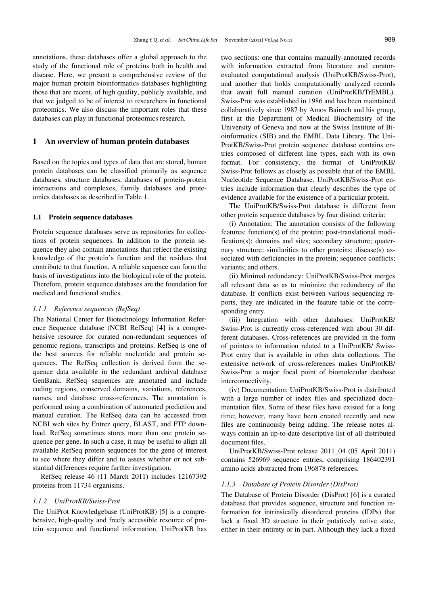annotations, these databases offer a global approach to the study of the functional role of proteins both in health and disease. Here, we present a comprehensive review of the major human protein bioinformatics databases highlighting those that are recent, of high quality, publicly available, and that we judged to be of interest to researchers in functional proteomics. We also discuss the important roles that these databases can play in functional proteomics research.

# **1 An overview of human protein databases**

Based on the topics and types of data that are stored, human protein databases can be classified primarily as sequence databases, structure databases, databases of protein-protein interactions and complexes, family databases and proteomics databases as described in Table 1.

## **1.1 Protein sequence databases**

Protein sequence databases serve as repositories for collections of protein sequences. In addition to the protein sequence they also contain annotations that reflect the existing knowledge of the protein's function and the residues that contribute to that function. A reliable sequence can form the basis of investigations into the biological role of the protein. Therefore, protein sequence databases are the foundation for medical and functional studies.

## *1.1.1 Reference sequences (RefSeq)*

The National Center for Biotechnology Information Reference Sequence database (NCBI RefSeq) [4] is a comprehensive resource for curated non-redundant sequences of genomic regions, transcripts and proteins. RefSeq is one of the best sources for reliable nucleotide and protein sequences. The RefSeq collection is derived from the sequence data available in the redundant archival database GenBank. RefSeq sequences are annotated and include coding regions, conserved domains, variations, references, names, and database cross-references. The annotation is performed using a combination of automated prediction and manual curation. The RefSeq data can be accessed from NCBI web sites by Entrez query, BLAST, and FTP download. RefSeq sometimes stores more than one protein sequence per gene. In such a case, it may be useful to align all available RefSeq protein sequences for the gene of interest to see where they differ and to assess whether or not substantial differences require further investigation.

RefSeq release 46 (11 March 2011) includes 12167392 proteins from 11734 organisms.

#### *1.1.2 UniProtKB/Swiss-Prot*

The UniProt Knowledgebase (UniProtKB) [5] is a comprehensive, high-quality and freely accessible resource of protein sequence and functional information. UniProtKB has two sections: one that contains manually-annotated records with information extracted from literature and curatorevaluated computational analysis (UniProtKB/Swiss-Prot), and another that holds computationally analyzed records that await full manual curation (UniProtKB/TrEMBL). Swiss-Prot was established in 1986 and has been maintained collaboratively since 1987 by Amos Bairoch and his group, first at the Department of Medical Biochemistry of the University of Geneva and now at the Swiss Institute of Bioinformatics (SIB) and the EMBL Data Library. The Uni-ProtKB/Swiss-Prot protein sequence database contains entries composed of different line types, each with its own format. For consistency, the format of UniProtKB/ Swiss-Prot follows as closely as possible that of the EMBL Nucleotide Sequence Database. UniProtKB/Swiss-Prot entries include information that clearly describes the type of evidence available for the existence of a particular protein.

The UniProtKB/Swiss-Prot database is different from other protein sequence databases by four distinct criteria:

(i) Annotation: The annotation consists of the following features: function(s) of the protein; post-translational modification(s); domains and sites; secondary structure; quaternary structure; similarities to other proteins; disease(s) associated with deficiencies in the protein; sequence conflicts; variants; and others.

(ii) Minimal redundancy: UniProtKB/Swiss-Prot merges all relevant data so as to minimize the redundancy of the database. If conflicts exist between various sequencing reports, they are indicated in the feature table of the corresponding entry.

(iii) Integration with other databases: UniProtKB/ Swiss-Prot is currently cross-referenced with about 30 different databases. Cross-references are provided in the form of pointers to information related to a UniProtKB/ Swiss-Prot entry that is available in other data collections. The extensive network of cross-references makes UniProtKB/ Swiss-Prot a major focal point of biomolecular database interconnectivity.

(iv) Documentation: UniProtKB/Swiss-Prot is distributed with a large number of index files and specialized documentation files. Some of these files have existed for a long time; however, many have been created recently and new files are continuously being adding. The release notes always contain an up-to-date descriptive list of all distributed document files.

UniProtKB/Swiss-Prot release 2011\_04 (05 April 2011) contains 526969 sequence entries, comprising 186402391 amino acids abstracted from 196878 references.

## *1.1.3 Database of Protein Disorder (DisProt)*

The Database of Protein Disorder (DisProt) [6] is a curated database that provides sequence, structure and function information for intrinsically disordered proteins (IDPs) that lack a fixed 3D structure in their putatively native state, either in their entirety or in part. Although they lack a fixed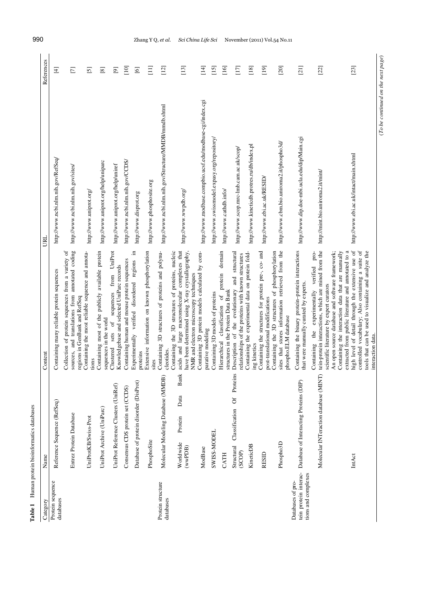| Table 1                                                           | Human protein bioinformatics databases<br>Name     | Content                                                                                                                                                       | B                                                         | References                         |
|-------------------------------------------------------------------|----------------------------------------------------|---------------------------------------------------------------------------------------------------------------------------------------------------------------|-----------------------------------------------------------|------------------------------------|
| Protein sequence<br>Category                                      |                                                    |                                                                                                                                                               |                                                           |                                    |
| databases                                                         | Reference Sequence (RefSeq)                        | Containing many reliable protein sequences                                                                                                                    | http://www.ncbi.nlm.nih.gov/RefSeq/                       | $\overline{4}$                     |
|                                                                   | Entrez Protein Database                            | sources, and translations from annotated coding<br>Collection of protein sequences from a variety of<br>regions in GenBank and RefSeq                         | http://www.ncbi.nlm.nih.gov/sites/                        | $\Box$                             |
|                                                                   | UniProtKB/Swiss-Prot                               | Containing the most reliable sequence and annota-<br>tions                                                                                                    | http://www.uniprot.org/                                   | $\boxed{5}$                        |
|                                                                   | UniProt Archive (UniParc)                          | Containing most of the publicly available protein<br>sequences in the world                                                                                   | http://www.uniprot.org/help/uniparc                       | $\boxed{8}$                        |
|                                                                   | UniProt Reference Clusters (UniRef)                | sequences from UniProt<br>Knowledgebase and selected UniParc records<br>$\sigma$<br>sets<br>Clustered                                                         | http://www.uniprot.org/help/uniref                        | $\overline{\odot}$                 |
|                                                                   | Consensus CDS protein set (CCDS)                   | Containing human and mouse protein sequences                                                                                                                  | http://www.ncbi.nlm.nih.gov/CCDS/                         | $\Xi$                              |
|                                                                   | Database of protein disorder (DisProt)             | Е.<br>Experimentally verified disordered regions<br>proteins                                                                                                  | http://www.disprot.org                                    | $\Xi$                              |
|                                                                   | PhosphoSite                                        | Extensive information on known phosphorylation<br>sites                                                                                                       | http://www.phosphosite.org                                | $\Xi$                              |
| Protein structure<br>databases                                    | Molecular Modeling Database (MMDB)                 | Containing 3D structures of proteins and polynu-<br>cleotides.                                                                                                | http://www.ncbi.nlm.nih.gov/Structure/MMDB/mmdb.shtml     | $\frac{12}{1}$                     |
|                                                                   | <b>Bank</b><br>Data<br>Protein<br>Worldwide        | acids and large macromolecular complexes that<br>Containing the 3D structures of proteins, nucleic                                                            | http://www.wwpdb.org/                                     | $\begin{bmatrix} 13 \end{bmatrix}$ |
|                                                                   | (wwPDB)                                            | have been determined using X-ray crystallography,<br>NMR and electron microscopy techniques                                                                   |                                                           |                                    |
|                                                                   | ModBase                                            | Containing 3D protein models calculated by com-<br>parative modeling                                                                                          | http://www.modbase.compbio.ucsf.edu/modbase-cgi/index.cgi | $\frac{4}{14}$                     |
|                                                                   | SWISS-MODEL                                        | Containing 3D models of proteins                                                                                                                              | http://www.swissmodel.expasy.org/repository/              | $[15]$                             |
|                                                                   | CATH                                               | domain<br>protein<br>structures in the Protein Data Bank<br>classification of<br>Hierarchical                                                                 | http://www.cathdb.info/                                   | [16]                               |
|                                                                   | Classification Of Proteins<br>Structural<br>(SCOP) | structural<br>relationships of the proteins with known structures<br>and<br>Description of the evolutionary                                                   | http://www.scop.mrc-1mb.cam.ac.uk/scop/                   | $[17]$                             |
|                                                                   | KineticDB                                          | Containing the experimental data on protein fold-<br>ing kinetics                                                                                             | http://www.kineticdb.protres.ru/db/index.pl               | $[18]$                             |
|                                                                   | <b>RESID</b>                                       | Containing the structures for protein pre-, co- and<br>post-translational modifications                                                                       | http://www.ebi.ac.uk/RESID/                               | $[19]$                             |
|                                                                   | Phospho3D                                          | sites that stores information retrieved from the<br>Containing the 3D structures of phosphorylation<br>phospho.ELM database                                   | http://www.cbm.bio.uniroma2.it/phospho3d/                 | [20]                               |
| tein protein interac-<br>tions and complexes<br>Databases of pro- | Database of Interacting Proteins (DIP)             | Containing the binary protein-protein interactions<br>that were manually curated by experts.                                                                  | http://www.dip.doe-mbi.ucla.edu/dip/Main.cgi              | [21]                               |
|                                                                   | Molecular INTeraction database (MINT)              | tein-protein interactions, which are mined from the<br>verified pro-<br>scientific literature by expert curators<br>Containing the experimentally             | http://mint.bio.uniroma2.it/mint/                         | $[22]$                             |
|                                                                   |                                                    | An open source database and software framework;<br>Containing the interaction data that are manually                                                          |                                                           |                                    |
|                                                                   | IntAct                                             | high level of detail through the extensive use of<br>controlled vocabulary; Also containing a suite of<br>extracted from public literature and annotated to a | http://www.ebi.ac.uk/intact/main.xhtml                    | [23]                               |
|                                                                   |                                                    | tools that can be used to visualize and analyze the<br>interaction data.                                                                                      |                                                           |                                    |

 $\label{eq:1} (To\ be\ continued\ on\ the\ next\ page)$ (*To be continued on the next page*)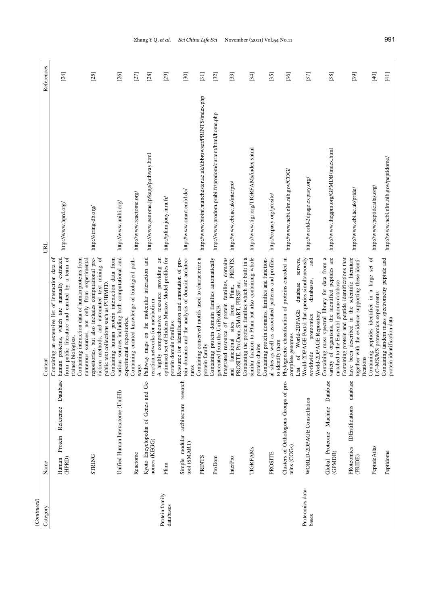| (Continued)                 |                                                                                 |                                                                                                                                                                                                                                                                                        |                                                                                                                          |                  |
|-----------------------------|---------------------------------------------------------------------------------|----------------------------------------------------------------------------------------------------------------------------------------------------------------------------------------------------------------------------------------------------------------------------------------|--------------------------------------------------------------------------------------------------------------------------|------------------|
| Category                    | Name                                                                            | Content                                                                                                                                                                                                                                                                                | URL                                                                                                                      | References       |
|                             | Database<br>Reference<br>Protein<br>(HPRD)<br>Human                             | from public literature and curated by a team of<br>are manually extracted<br>Containing an extensive list of interaction data of<br>human proteins, which<br>trained biologists.                                                                                                       | http://www.hprd.org/                                                                                                     | [24]             |
|                             | <b>STRING</b>                                                                   | repositories, but also includes computational pre-<br>diction methods, and automated text mining of<br>Containing interaction data of human proteins from<br>numerous sources, not only from experimental<br>public text collections such as PUBMED                                    | http://string-db.org/                                                                                                    | $[25]$           |
|                             | Unified Human Interactome (UniHI)                                               | various sources including both computational and<br>Containing human protein interaction data from<br>experimental repositories.                                                                                                                                                       | http://www.unihi.org/                                                                                                    | $[26]$           |
|                             | Kyoto Encyclopedia of Genes and Ge-<br>nomes (KEGG)<br>Reactome                 | Containing curated knowledge of biological path-<br>Pathway maps on the molecular interaction and<br>reaction networks for metabolism<br>ways                                                                                                                                          | http://www.genome.jp/kegg/pathway.html<br>http://www.reactome.org/                                                       | $[28]$<br>$[27]$ |
| Protein family<br>databases | architecture research<br>Simple modular<br>Pfam                                 | tein domains and the analysis of domain architec-<br>optimised set of Hidden Markov Model profiles for<br>$\overline{\mathrm{a}}$<br>Resource for identification and annotation of pro-<br>providing<br>A highly comprehensive resource<br>protein domain families                     | http://www.smart.embl.de/<br>http://pfam.jouy.inra.fr/                                                                   | [29]<br>$[30]$   |
|                             | tool (SMART)<br>PRINTS<br>ProDom                                                | Containing conserved motifs used to characterize a<br>Containing protein domain families automatically<br>generated from the UniProtKB<br>protein family<br>tures                                                                                                                      | http://www.bioinf.manchester.ac.uk/dbbrowser/PRINTS/index.php<br>http://www.prodom.prabi.fr/prodom/current/html/home.php | $[31]$<br>$[32]$ |
|                             | <b>TIGRFAMS</b><br>InterPro                                                     | PRINTS,<br>similar fashion to Pfam but also containing whole<br>Containing the protein families which are built in a<br>Integrated resource of protein families, domains<br>PROSITE, ProDom, SMART, PIRSF etc.<br>sites from Pfam,<br>functional<br>and                                | http://www.tigr.org/TIGRFAMs/index.shtml<br>http://www.ebi.ac.uk/interpro/                                               | [34]<br>$[33]$   |
|                             | Clusters of Orthologous Groups of pro-<br>teins (COGs)<br>PROSITE               | al sites as well as associated patterns and profiles<br>Phylogenetic classification of proteins encoded in<br>Containing protein domains, families and function-<br>servers,<br>database<br>World-2DPAGE<br>complete genomes<br>to identify them<br>protein chains<br>$\sigma$<br>List | http://www.ncbi.nlm.nih.gov/COG/<br>http://expasy.org/prosite/                                                           | $[36]$<br>$[35]$ |
| Proteomics data-<br>bases   | Database<br>WORLD-2DPAGE Constellation<br>Machine<br>Global Proteome<br>(GPMDB) | variety of organisms, the identified peptides are<br>and<br>Containing mass spectral library for data from a<br>World-2DPAGE Portal that queries simultaneously<br>databases,<br>matched to the Ensembl genome database<br>World-2DPAGE Repository<br>proteomics<br>worldwide          | http://www.thegpm.org/GPMDB/index.html<br>http://world-2dpage.expasy.org/                                                | [37]<br>$[38]$   |
|                             | database<br><b>IDEntifications</b><br>PRoteomics<br>Peptide Atlas<br>(PRIDE)    | have been described in the scientific literature<br>Containing protein and peptide identifications that<br>together with the evidence supporting these identi-<br>Containing peptides identified in a large set of<br>LC-MS/MS proteomics experiments<br>fications                     | http://www.peptideatlas.org/<br>http://www.ebi.ac.uk/pride/                                                              | $[39]$<br>$[40]$ |
|                             | Peptidome                                                                       | Containing tandem mass spectrometry peptide and<br>protein identification data                                                                                                                                                                                                         | http://www.ncbi.nlm.nih.gov/peptidome/                                                                                   | $[41]$           |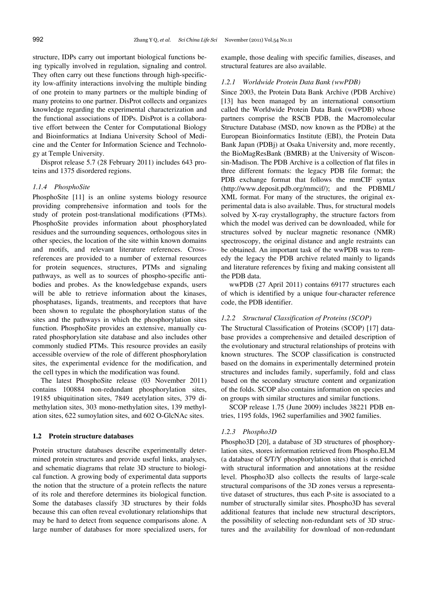structure, IDPs carry out important biological functions being typically involved in regulation, signaling and control. They often carry out these functions through high-specificity low-affinity interactions involving the multiple binding of one protein to many partners or the multiple binding of many proteins to one partner. DisProt collects and organizes knowledge regarding the experimental characterization and the functional associations of IDPs. DisProt is a collaborative effort between the Center for Computational Biology and Bioinformatics at Indiana University School of Medicine and the Center for Information Science and Technology at Temple University.

Disprot release 5.7 (28 February 2011) includes 643 proteins and 1375 disordered regions.

# *1.1.4 PhosphoSite*

PhosphoSite [11] is an online systems biology resource providing comprehensive information and tools for the study of protein post-translational modifications (PTMs). PhosphoSite provides information about phosphorylated residues and the surrounding sequences, orthologous sites in other species, the location of the site within known domains and motifs, and relevant literature references. Crossreferences are provided to a number of external resources for protein sequences, structures, PTMs and signaling pathways, as well as to sources of phospho-specific antibodies and probes. As the knowledgebase expands, users will be able to retrieve information about the kinases, phosphatases, ligands, treatments, and receptors that have been shown to regulate the phosphorylation status of the sites and the pathways in which the phosphorylation sites function. PhosphoSite provides an extensive, manually curated phosphorylation site database and also includes other commonly studied PTMs. This resource provides an easily accessible overview of the role of different phosphorylation sites, the experimental evidence for the modification, and the cell types in which the modification was found.

The latest PhosphoSite release (03 November 2011) contains 100884 non-redundant phosphorylation sites, 19185 ubiquitination sites, 7849 acetylation sites, 379 dimethylation sites, 303 mono-methylation sites, 139 methylation sites, 622 sumoylation sites, and 602 O-GlcNAc sites.

# **1.2 Protein structure databases**

Protein structure databases describe experimentally determined protein structures and provide useful links, analyses, and schematic diagrams that relate 3D structure to biological function. A growing body of experimental data supports the notion that the structure of a protein reflects the nature of its role and therefore determines its biological function. Some the databases classify 3D structures by their folds because this can often reveal evolutionary relationships that may be hard to detect from sequence comparisons alone. A large number of databases for more specialized users, for example, those dealing with specific families, diseases, and structural features are also available.

#### *1.2.1 Worldwide Protein Data Bank (wwPDB)*

Since 2003, the Protein Data Bank Archive (PDB Archive) [13] has been managed by an international consortium called the Worldwide Protein Data Bank (wwPDB) whose partners comprise the RSCB PDB, the Macromolecular Structure Database (MSD, now known as the PDBe) at the European Bioinformatics Institute (EBI), the Protein Data Bank Japan (PDBj) at Osaka University and, more recently, the BioMagResBank (BMRB) at the University of Wisconsin-Madison. The PDB Archive is a collection of flat files in three different formats: the legacy PDB file format; the PDB exchange format that follows the mmCIF syntax (http://www.deposit.pdb.org/mmcif/); and the PDBML/ XML format. For many of the structures, the original experimental data is also available. Thus, for structural models solved by X-ray crystallography, the structure factors from which the model was derived can be downloaded, while for structures solved by nuclear magnetic resonance (NMR) spectroscopy, the original distance and angle restraints can be obtained. An important task of the wwPDB was to remedy the legacy the PDB archive related mainly to ligands and literature references by fixing and making consistent all the PDB data.

wwPDB (27 April 2011) contains 69177 structures each of which is identified by a unique four-character reference code, the PDB identifier.

#### *1.2.2 Structural Classification of Proteins (SCOP)*

The Structural Classification of Proteins (SCOP) [17] database provides a comprehensive and detailed description of the evolutionary and structural relationships of proteins with known structures. The SCOP classification is constructed based on the domains in experimentally determined protein structures and includes family, superfamily, fold and class based on the secondary structure content and organization of the folds. SCOP also contains information on species and on groups with similar structures and similar functions.

SCOP release 1.75 (June 2009) includes 38221 PDB entries, 1195 folds, 1962 superfamilies and 3902 families.

#### *1.2.3 Phospho3D*

Phospho3D [20], a database of 3D structures of phosphorylation sites, stores information retrieved from Phospho.ELM (a database of S/T/Y phosphorylation sites) that is enriched with structural information and annotations at the residue level. Phospho3D also collects the results of large-scale structural comparisons of the 3D zones versus a representative dataset of structures, thus each P-site is associated to a number of structurally similar sites. Phospho3D has several additional features that include new structural descriptors, the possibility of selecting non-redundant sets of 3D structures and the availability for download of non-redundant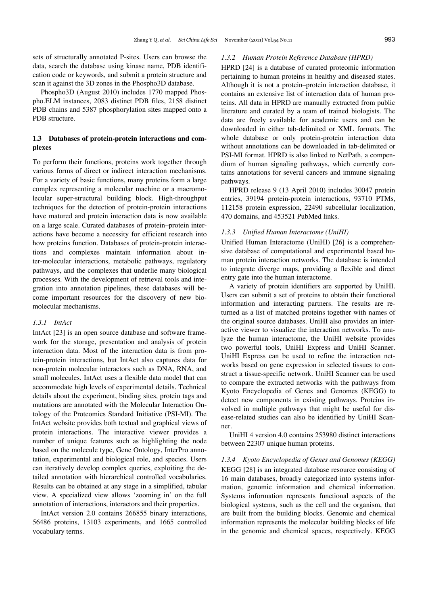sets of structurally annotated P-sites. Users can browse the data, search the database using kinase name, PDB identification code or keywords, and submit a protein structure and scan it against the 3D zones in the Phospho3D database.

Phospho3D (August 2010) includes 1770 mapped Phospho.ELM instances, 2083 distinct PDB files, 2158 distinct PDB chains and 5387 phosphorylation sites mapped onto a PDB structure.

# **1.3 Databases of protein-protein interactions and complexes**

To perform their functions, proteins work together through various forms of direct or indirect interaction mechanisms. For a variety of basic functions, many proteins form a large complex representing a molecular machine or a macromolecular super-structural building block. High-throughput techniques for the detection of protein-protein interactions have matured and protein interaction data is now available on a large scale. Curated databases of protein–protein interactions have become a necessity for efficient research into how proteins function. Databases of protein-protein interactions and complexes maintain information about inter-molecular interactions, metabolic pathways, regulatory pathways, and the complexes that underlie many biological processes. With the development of retrieval tools and integration into annotation pipelines, these databases will become important resources for the discovery of new biomolecular mechanisms.

# *1.3.1 IntAct*

IntAct [23] is an open source database and software framework for the storage, presentation and analysis of protein interaction data. Most of the interaction data is from protein-protein interactions, but IntAct also captures data for non-protein molecular interactors such as DNA, RNA, and small molecules. IntAct uses a flexible data model that can accommodate high levels of experimental details. Technical details about the experiment, binding sites, protein tags and mutations are annotated with the Molecular Interaction Ontology of the Proteomics Standard Initiative (PSI-MI). The IntAct website provides both textual and graphical views of protein interactions. The interactive viewer provides a number of unique features such as highlighting the node based on the molecule type, Gene Ontology, InterPro annotation, experimental and biological role, and species. Users can iteratively develop complex queries, exploiting the detailed annotation with hierarchical controlled vocabularies. Results can be obtained at any stage in a simplified, tabular view. A specialized view allows 'zooming in' on the full annotation of interactions, interactors and their properties.

IntAct version 2.0 contains 266855 binary interactions, 56486 proteins, 13103 experiments, and 1665 controlled vocabulary terms.

## *1.3.2 Human Protein Reference Database (HPRD)*

HPRD [24] is a database of curated proteomic information pertaining to human proteins in healthy and diseased states. Although it is not a protein–protein interaction database, it contains an extensive list of interaction data of human proteins. All data in HPRD are manually extracted from public literature and curated by a team of trained biologists. The data are freely available for academic users and can be downloaded in either tab-delimited or XML formats. The whole database or only protein-protein interaction data without annotations can be downloaded in tab-delimited or PSI-MI format. HPRD is also linked to NetPath, a compendium of human signaling pathways, which currently contains annotations for several cancers and immune signaling pathways.

HPRD release 9 (13 April 2010) includes 30047 protein entries, 39194 protein-protein interactions, 93710 PTMs, 112158 protein expression, 22490 subcellular localization, 470 domains, and 453521 PubMed links.

## *1.3.3 Unified Human Interactome (UniHI)*

Unified Human Interactome (UniHI) [26] is a comprehensive database of computational and experimental based human protein interaction networks. The database is intended to integrate diverge maps, providing a flexible and direct entry gate into the human interactome.

A variety of protein identifiers are supported by UniHI. Users can submit a set of proteins to obtain their functional information and interacting partners. The results are returned as a list of matched proteins together with names of the original source databases. UniHI also provides an interactive viewer to visualize the interaction networks. To analyze the human interactome, the UniHI website provides two powerful tools, UniHI Express and UniHI Scanner. UniHI Express can be used to refine the interaction networks based on gene expression in selected tissues to construct a tissue-specific network. UniHI Scanner can be used to compare the extracted networks with the pathways from Kyoto Encyclopedia of Genes and Genomes (KEGG) to detect new components in existing pathways. Proteins involved in multiple pathways that might be useful for disease-related studies can also be identified by UniHI Scanner.

UniHI 4 version 4.0 contains 253980 distinct interactions between 22307 unique human proteins.

## *1.3.4 Kyoto Encyclopedia of Genes and Genomes (KEGG)*

KEGG [28] is an integrated database resource consisting of 16 main databases, broadly categorized into systems information, genomic information and chemical information. Systems information represents functional aspects of the biological systems, such as the cell and the organism, that are built from the building blocks. Genomic and chemical information represents the molecular building blocks of life in the genomic and chemical spaces, respectively. KEGG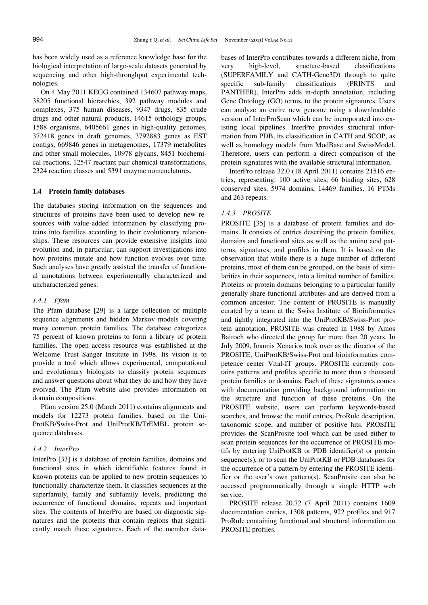has been widely used as a reference knowledge base for the biological interpretation of large-scale datasets generated by sequencing and other high-throughput experimental technologies.

On 4 May 2011 KEGG contained 134607 pathway maps, 38205 functional hierarchies, 392 pathway modules and complexes, 375 human diseases, 9347 drugs, 835 crude drugs and other natural products, 14615 orthology groups, 1588 organisms, 6405661 genes in high-quality genomes, 372418 genes in draft genomes, 3792883 genes as EST contigs, 669846 genes in metagenomes, 17379 metabolites and other small molecules, 10978 glycans, 8451 biochemical reactions, 12547 reactant pair chemical transformations, 2324 reaction classes and 5391 enzyme nomenclatures.

#### **1.4 Protein family databases**

The databases storing information on the sequences and structures of proteins have been used to develop new resources with value-added information by classifying proteins into families according to their evolutionary relationships. These resources can provide extensive insights into evolution and, in particular, can support investigations into how proteins mutate and how function evolves over time. Such analyses have greatly assisted the transfer of functional annotations between experimentally characterized and uncharacterized genes.

# *1.4.1 Pfam*

The Pfam database [29] is a large collection of multiple sequence alignments and hidden Markov models covering many common protein families. The database categorizes 75 percent of known proteins to form a library of protein families. The open access resource was established at the Welcome Trust Sanger Institute in 1998. Its vision is to provide a tool which allows experimental, computational and evolutionary biologists to classify protein sequences and answer questions about what they do and how they have evolved. The Pfam website also provides information on domain compositions.

Pfam version 25.0 (March 2011) contains alignments and models for 12273 protein families, based on the Uni-ProtKB/Swiss-Prot and UniProtKB/TrEMBL protein sequence databases.

#### *1.4.2 InterPro*

InterPro [33] is a database of protein families, domains and functional sites in which identifiable features found in known proteins can be applied to new protein sequences to functionally characterize them. It classifies sequences at the superfamily, family and subfamily levels, predicting the occurrence of functional domains, repeats and important sites. The contents of InterPro are based on diagnostic signatures and the proteins that contain regions that significantly match these signatures. Each of the member databases of InterPro contributes towards a different niche, from very high-level, structure-based classifications (SUPERFAMILY and CATH-Gene3D) through to quite specific sub-family classifications (PRINTS and PANTHER). InterPro adds in-depth annotation, including Gene Ontology (GO) terms, to the protein signatures. Users can analyze an entire new genome using a downloadable version of InterProScan which can be incorporated into existing local pipelines. InterPro provides structural information from PDB, its classification in CATH and SCOP, as well as homology models from ModBase and SwissModel. Therefore, users can perform a direct comparison of the protein signatures with the available structural information.

InterPro release 32.0 (18 April 2011) contains 21516 entries, representing: 100 active sites, 66 binding sites, 628 conserved sites, 5974 domains, 14469 families, 16 PTMs and 263 repeats.

#### *1.4.3 PROSITE*

PROSITE [35] is a database of protein families and domains. It consists of entries describing the protein families, domains and functional sites as well as the amino acid patterns, signatures, and profiles in them. It is based on the observation that while there is a huge number of different proteins, most of them can be grouped, on the basis of similarities in their sequences, into a limited number of families. Proteins or protein domains belonging to a particular family generally share functional attributes and are derived from a common ancestor. The content of PROSITE is manually curated by a team at the Swiss Institute of Bioinformatics and tightly integrated into the UniProtKB/Swiss-Prot protein annotation. PROSITE was created in 1988 by Amos Bairoch who directed the group for more than 20 years. In July 2009, Ioannis Xenarios took over as the director of the PROSITE, UniProtKB/Swiss-Prot and bioinformatics competence center Vital-IT groups. PROSITE currently contains patterns and profiles specific to more than a thousand protein families or domains. Each of these signatures comes with documentation providing background information on the structure and function of these proteins. On the PROSITE website, users can perform keywords-based searches, and browse the motif entries, ProRule description, taxonomic scope, and number of positive hits. PROSITE provides the ScanProsite tool which can be used either to scan protein sequences for the occurrence of PROSITE motifs by entering UniProtKB or PDB identifier(s) or protein sequence(s), or to scan the UniProtKB or PDB databases for the occurrence of a pattern by entering the PROSITE identifier or the user's own pattern(s). ScanProsite can also be accessed programmatically through a simple HTTP web service.

PROSITE release 20.72 (7 April 2011) contains 1609 documentation entries, 1308 patterns, 922 profiles and 917 ProRule containing functional and structural information on PROSITE profiles.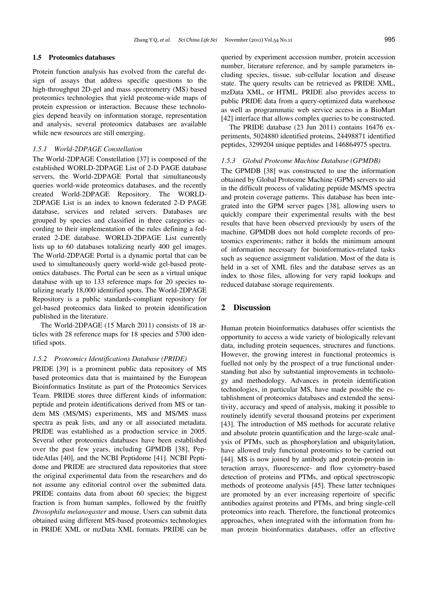#### **1.5 Proteomics databases**

Protein function analysis has evolved from the careful design of assays that address specific questions to the high-throughput 2D-gel and mass spectrometry (MS) based proteomics technologies that yield proteome-wide maps of protein expression or interaction. Because these technologies depend heavily on information storage, representation and analysis, several proteomics databases are available while new resources are still emerging.

#### *1.5.1 World-2DPAGE Constellation*

The World-2DPAGE Constellation [37] is composed of the established WORLD-2DPAGE List of 2-D PAGE database servers, the World-2DPAGE Portal that simultaneously queries world-wide proteomics databases, and the recently created World-2DPAGE Repository. The WORLD-2DPAGE List is an index to known federated 2-D PAGE database, services and related servers. Databases are grouped by species and classified in three categories according to their implementation of the rules defining a federated 2-DE database. WORLD-2DPAGE List currently lists up to 60 databases totalizing nearly 400 gel images. The World-2DPAGE Portal is a dynamic portal that can be used to simultaneously query world-wide gel-based proteomics databases. The Portal can be seen as a virtual unique database with up to 133 reference maps for 20 species totalizing nearly 18,000 identified spots. The World-2DPAGE Repository is a public standards-compliant repository for gel-based proteomics data linked to protein identification published in the literature.

The World-2DPAGE (15 March 2011) consists of 18 articles with 28 reference maps for 18 species and 5700 identified spots.

#### *1.5.2 Proteomics Identifications Database (PRIDE)*

PRIDE [39] is a prominent public data repository of MS based proteomics data that is maintained by the European Bioinformatics Institute as part of the Proteomics Services Team. PRIDE stores three different kinds of information: peptide and protein identifications derived from MS or tandem MS (MS/MS) experiments, MS and MS/MS mass spectra as peak lists, and any or all associated metadata. PRIDE was established as a production service in 2005. Several other proteomics databases have been established over the past few years, including GPMDB [38], PeptideAtlas [40], and the NCBI Peptidome [41]. NCBI Peptidome and PRIDE are structured data repositories that store the original experimental data from the researchers and do not assume any editorial control over the submitted data. PRIDE contains data from about 60 species; the biggest fraction is from human samples, followed by the fruitfly *Drosophila melanogaster* and mouse. Users can submit data obtained using different MS-based proteomics technologies in PRIDE XML or mzData XML formats. PRIDE can be queried by experiment accession number, protein accession number, literature reference, and by sample parameters including species, tissue, sub-cellular location and disease state. The query results can be retrieved as PRIDE XML, mzData XML, or HTML. PRIDE also provides access to public PRIDE data from a query-optimized data warehouse as well as programmatic web service access in a BioMart [42] interface that allows complex queries to be constructed.

The PRIDE database (23 Jun 2011) contains 16476 experiments, 5024880 identified proteins, 24498871 identified peptides, 3299204 unique peptides and 146864975 spectra.

#### *1.5.3 Global Proteome Machine Database (GPMDB)*

The GPMDB [38] was constructed to use the information obtained by Global Proteome Machine (GPM) servers to aid in the difficult process of validating peptide MS/MS spectra and protein coverage patterns. This database has been integrated into the GPM server pages [38], allowing users to quickly compare their experimental results with the best results that have been observed previously by users of the machine. GPMDB does not hold complete records of proteomics experiments; rather it holds the minimum amount of information necessary for bioinformatics-related tasks such as sequence assignment validation. Most of the data is held in a set of XML files and the database serves as an index to those files, allowing for very rapid lookups and reduced database storage requirements.

## **2 Discussion**

Human protein bioinformatics databases offer scientists the opportunity to access a wide variety of biologically relevant data, including protein sequences, structures and functions. However, the growing interest in functional proteomics is fuelled not only by the prospect of a true functional understanding but also by substantial improvements in technology and methodology. Advances in protein identification technologies, in particular MS, have made possible the establishment of proteomics databases and extended the sensitivity, accuracy and speed of analysis, making it possible to routinely identify several thousand proteins per experiment [43]. The introduction of MS methods for accurate relative and absolute protein quantification and the large-scale analysis of PTMs, such as phosphorylation and ubiquitylation, have allowed truly functional proteomics to be carried out [44]. MS is now joined by antibody and protein-protein interaction arrays, fluorescence- and flow cytometry-based detection of proteins and PTMs, and optical spectroscopic methods of proteome analysis [45]. These latter techniques are promoted by an ever increasing repertoire of specific antibodies against proteins and PTMs, and bring single-cell proteomics into reach. Therefore, the functional proteomics approaches, when integrated with the information from human protein bioinformatics databases, offer an effective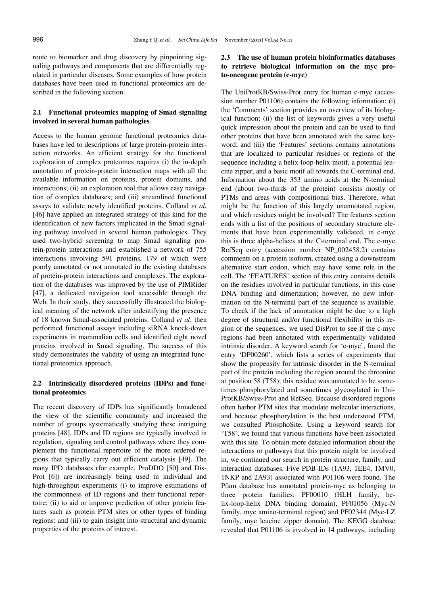route to biomarker and drug discovery by pinpointing signaling pathways and components that are differentially regulated in particular diseases. Some examples of how protein databases have been used in functional proteomics are described in the following section.

# **2.1 Functional proteomics mapping of Smad signaling involved in several human pathologies**

Access to the human genome functional proteomics databases have led to descriptions of large protein-protein interaction networks. An efficient strategy for the functional exploration of complex proteomes requires (i) the in-depth annotation of protein-protein interaction maps with all the available information on proteins, protein domains, and interactions; (ii) an exploration tool that allows easy navigation of complex databases; and (iii) streamlined functional assays to validate newly identified proteins. Colland *et al.* [46] have applied an integrated strategy of this kind for the identification of new factors implicated in the Smad signaling pathway involved in several human pathologies. They used two-hybrid screening to map Smad signaling protein-protein interactions and established a network of 755 interactions involving 591 proteins, 179 of which were poorly annotated or not annotated in the existing databases of protein-protein interactions and complexes. The exploration of the databases was improved by the use of PIMRider [47], a dedicated navigation tool accessible through the Web. In their study, they successfully illustrated the biological meaning of the network after indentifying the presence of 18 known Smad-associated proteins. Colland *et al*. then performed functional assays including siRNA knock-down experiments in mammalian cells and identified eight novel proteins involved in Smad signaling. The success of this study demonstrates the validity of using an integrated functional proteomics approach.

# **2.2 Intrinsically disordered proteins (IDPs) and functional proteomics**

The recent discovery of IDPs has significantly broadened the view of the scientific community and increased the number of groups systematically studying these intriguing proteins [48]. IDPs and ID regions are typically involved in regulation, signaling and control pathways where they complement the functional repertoire of the more ordered regions that typically carry out efficient catalysis [49]. The many IPD databases (for example, ProDDO [50] and Dis-Prot [6]) are increasingly being used in individual and high-throughput experiments (i) to improve estimations of the commonness of ID regions and their functional repertoire; (ii) to aid or improve prediction of other protein features such as protein PTM sites or other types of binding regions; and (iii) to gain insight into structural and dynamic properties of the proteins of interest.

# **2.3 The use of human protein bioinformatics databases to retrieve biological information on the myc proto-oncogene protein (c-myc)**

The UniProtKB/Swiss-Prot entry for human c-myc (accession number P01106) contains the following information: (i) the 'Comments' section provides an overview of its biological function; (ii) the list of keywords gives a very useful quick impression about the protein and can be used to find other proteins that have been annotated with the same keyword; and (iii) the 'Features' sections contains annotations that are localized to particular residues or regions of the sequence including a helix-loop-helix motif, a potential leucine zipper, and a basic motif all towards the C-terminal end. Information about the 353 amino acids at the N-terminal end (about two-thirds of the protein) consists mostly of PTMs and areas with compositional bias. Therefore, what might be the function of this largely unannotated region, and which residues might be involved? The features section ends with a list of the positions of secondary structure elements that have been experimentally validated, in c-myc this is three alpha-helices at the C-terminal end. The c-myc RefSeq entry (accession number NP\_002458.2) contains comments on a protein isoform, created using a downstream alternative start codon, which may have some role in the cell. The 'FEATURES' section of this entry contains details on the residues involved in particular functions, in this case DNA binding and dimerization; however, no new information on the N-terminal part of the sequence is available. To check if the lack of annotation might be due to a high degree of structural and/or functional flexibility in this region of the sequences, we used DisProt to see if the c-myc regions had been annotated with experimentally validated intrinsic disorder. A keyword search for 'c-myc', found the entry 'DP00260', which lists a series of experiments that show the propensity for intrinsic disorder in the N-terminal part of the protein including the region around the threonine at position 58 (T58); this residue was annotated to be sometimes phosphorylated and sometimes glycosylated in Uni-ProtKB/Swiss-Prot and RefSeq. Because disordered regions often harbor PTM sites that modulate molecular interactions, and because phosphorylation is the best understood PTM, we consulted PhosphoSite. Using a keyword search for 'T58', we found that various functions have been associated with this site. To obtain more detailed information about the interactions or pathways that this protein might be involved in, we continued our search in protein structure, family, and interaction databases. Five PDB IDs (1A93, 1EE4, 1MV0, 1NKP and 2A93) associated with P01106 were found. The Pfam database has annotated protein-myc as belonging to three protein families: PF00010 (HLH family, helix-loop-helix DNA binding domain), PF01056 (Myc-N family, myc amino-terminal region) and PF02344 (Myc-LZ family, myc leucine zipper domain). The KEGG database revealed that P01106 is involved in 14 pathways, including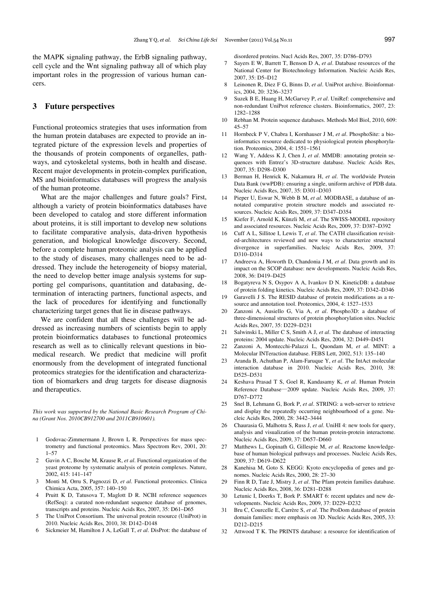the MAPK signaling pathway, the ErbB signaling pathway, cell cycle and the Wnt signaling pathway all of which play important roles in the progression of various human cancers.

# **3 Future perspectives**

Functional proteomics strategies that uses information from the human protein databases are expected to provide an integrated picture of the expression levels and properties of the thousands of protein components of organelles, pathways, and cytoskeletal systems, both in health and disease. Recent major developments in protein-complex purification, MS and bioinformatics databases will progress the analysis of the human proteome.

What are the major challenges and future goals? First, although a variety of protein bioinformatics databases have been developed to catalog and store different information about proteins, it is still important to develop new solutions to facilitate comparative analysis, data-driven hypothesis generation, and biological knowledge discovery. Second, before a complete human proteomic analysis can be applied to the study of diseases, many challenges need to be addressed. They include the heterogeneity of biopsy material, the need to develop better image analysis systems for supporting gel comparisons, quantitation and databasing, determination of interacting partners, functional aspects, and the lack of procedures for identifying and functionally characterizing target genes that lie in disease pathways.

We are confident that all these challenges will be addressed as increasing numbers of scientists begin to apply protein bioinformatics databases to functional proteomics research as well as to clinically relevant questions in biomedical research. We predict that medicine will profit enormously from the development of integrated functional proteomics strategies for the identification and characterization of biomarkers and drug targets for disease diagnosis and therapeutics.

*This work was supported by the National Basic Research Program of China (Grant Nos. 2010CB912700 and 2011CB910601).* 

- 1 Godovac-Zimmermann J, Brown L R. Perspectives for mass spectrometry and functional proteomics. Mass Spectrom Rev, 2001, 20: 1–57
- 2 Gavin A C, Bosche M, Krause R, *et al*. Functional organization of the yeast proteome by systematic analysis of protein complexes. Nature, 2002, 415: 141–147
- 3 Monti M, Orru S, Pagnozzi D, *et al*. Functional proteomics. Clinica Chimica Acta, 2005, 357: 140–150
- Pruitt K D, Tatusova T, Maglott D R. NCBI reference sequences (RefSeq): a curated non-redundant sequence database of genomes, transcripts and proteins. Nucleic Acids Res, 2007, 35: D61–D65
- 5 The UniProt Consortium. The universal protein resource (UniProt) in 2010. Nucleic Acids Res, 2010, 38: D142–D148
- 6 Sickmeier M, Hamilton J A, LeGall T, *et al*. DisProt: the database of

disordered proteins. Nucl Acids Res, 2007, 35: D786–D793

- 7 Sayers E W, Barrett T, Benson D A, *et al*. Database resources of the National Center for Biotechnology Information. Nucleic Acids Res, 2007, 35: D5–D12
- 8 Leinonen R, Diez F G, Binns D, *et al*. UniProt archive. Bioinformatics, 2004, 20: 3236–3237
- 9 Suzek B E, Huang H, McGarvey P, *et al*. UniRef: comprehensive and non-redundant UniProt reference clusters. Bioinformatics, 2007, 23: 1282–1288
- 10 Rebhan M. Protein sequence databases. Methods Mol Biol, 2010, 609: 45–57
- 11 Hornbeck P V, Chabra I, Kornhauser J M, *et al*. PhosphoSite: a bioinformatics resource dedicated to physiological protein phosphorylation. Proteomics, 2004, 4: 1551–1561
- 12 Wang Y, Addess K J, Chen J, *et al*. MMDB: annotating protein sequences with Entrez's 3D-structure database. Nucleic Acids Res, 2007, 35: D298–D300
- 13 Berman H, Henrick K, Nakamura H, *et al*. The worldwide Protein Data Bank (wwPDB): ensuring a single, uniform archive of PDB data. Nucleic Acids Res, 2007, 35: D301–D303
- 14 Pieper U, Eswar N, Webb B M, *et al*. MODBASE, a database of annotated comparative protein structure models and associated resources. Nucleic Acids Res, 2009, 37: D347–D354
- 15 Kiefer F, Arnold K, Künzli M, *et al*. The SWISS-MODEL repository and associated resources. Nucleic Acids Res, 2009, 37: D387–D392
- 16 Cuff A L, Sillitoe I, Lewis T, *et al*. The CATH classification revisited-architectures reviewed and new ways to characterize structural divergence in superfamilies. Nucleic Acids Res, 2009, 37: D310–D314
- 17 Andreeva A, Howorth D, Chandonia J M, *et al*. Data growth and its impact on the SCOP database: new developments. Nucleic Acids Res, 2008, 36: D419–D425
- 18 Bogatyreva N S, Osypov A A, Ivankov D N. KineticDB: a database of protein folding kinetics. Nucleic Acids Res, 2009, 37: D342–D346
- 19 Garavelli J S. The RESID database of protein modifications as a resource and annotation tool. Proteomics, 2004, 4: 1527–1533
- 20 Zanzoni A, Ausiello G, Via A, *et al*. Phospho3D: a database of three-dimensional structures of protein phosphorylation sites. Nucleic Acids Res, 2007, 35: D229–D231
- Salwinski L, Miller C S, Smith A J, et al. The database of interacting proteins: 2004 update. Nucleic Acids Res, 2004, 32: D449–D451
- 22 Zanzoni A, Montecchi-Palazzi L, Quondam M, *et al*. MINT: a Molecular INTeraction database. FEBS Lett, 2002, 513: 135–140
- 23 Aranda B, Achuthan P, Alam-Faruque Y, *et al*. The IntAct molecular interaction database in 2010. Nucleic Acids Res, 2010, 38: D525–D531
- 24 Keshava Prasad T S, Goel R, Kandasamy K, *et al*. Human Protein Reference Database—2009 update. Nucleic Acids Res, 2009, 37: D767–D772
- 25 Snel B, Lehmann G, Bork P, *et al*. STRING: a web-server to retrieve and display the repeatedly occurring neighbourhood of a gene. Nucleic Acids Res, 2000, 28: 3442–3444
- 26 Chaurasia G, Malhotra S, Russ J, *et al*. UniHI 4: new tools for query, analysis and visualization of the human protein-protein interactome. Nucleic Acids Res, 2009, 37: D657–D660
- 27 Matthews L, Gopinath G, Gillespie M, *et al*. Reactome knowledgebase of human biological pathways and processes. Nucleic Acids Res, 2009, 37: D619–D622
- 28 Kanehisa M, Goto S. KEGG: Kyoto encyclopedia of genes and genomes. Nucleic Acids Res, 2000, 28: 27–30
- 29 Finn R D, Tate J, Mistry J, *et al*. The Pfam protein families database. Nucleic Acids Res, 2008, 36: D281–D288
- 30 Letunic I, Doerks T, Bork P. SMART 6: recent updates and new developments. Nucleic Acids Res, 2009, 37: D229–D232
- 31 Bru C, Courcelle E, Carrère S, *et al*. The ProDom database of protein domain families: more emphasis on 3D. Nucleic Acids Res, 2005, 33: D212–D215
- 32 Attwood T K. The PRINTS database: a resource for identification of